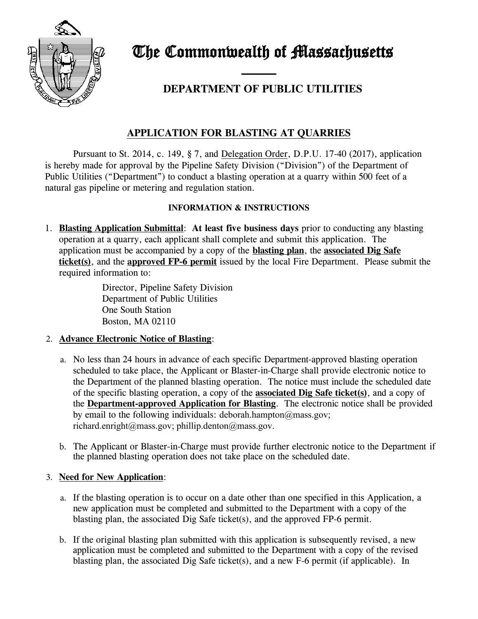

The Commonwealth of Massachusetts

# —— **DEPARTMENT OF PUBLIC UTILITIES**

# **APPLICATION FOR BLASTING AT QUARRIES**

Pursuant to St. 2014, c. 149, § 7, and Delegation Order, D.P.U. 17-40 (2017), application is hereby made for approval by the Pipeline Safety Division ("Division") of the Department of Public Utilities ("Department") to conduct a blasting operation at a quarry within 500 feet of a natural gas pipeline or metering and regulation station.

### **INFORMATION & INSTRUCTIONS**

1. **Blasting Application Submittal**: **At least five business days** prior to conducting any blasting operation at a quarry, each applicant shall complete and submit this application. The application must be accompanied by a copy of the **blasting plan**, the **associated Dig Safe ticket(s)**, and the **approved FP-6 permit** issued by the local Fire Department. Please submit the required information to:

> Director, Pipeline Safety Division Department of Public Utilities One South Station Boston, MA 02110

#### 2. **Advance Electronic Notice of Blasting**:

- a. No less than 24 hours in advance of each specific Department-approved blasting operation scheduled to take place, the Applicant or Blaster-in-Charge shall provide electronic notice to the Department of the planned blasting operation. The notice must include the scheduled date of the specific blasting operation, a copy of the **associated Dig Safe ticket(s)**, and a copy of the **Department-approved Application for Blasting**. The electronic notice shall be provided by email to the following individuals: deborah.hampton $\omega$ mass.gov; richard.enright@mass.gov; phillip.denton@mass.gov.
- b. The Applicant or Blaster-in-Charge must provide further electronic notice to the Department if the planned blasting operation does not take place on the scheduled date.

## 3. **Need for New Application**:

- a. If the blasting operation is to occur on a date other than one specified in this Application, a new application must be completed and submitted to the Department with a copy of the blasting plan, the associated Dig Safe ticket(s), and the approved FP-6 permit.
- b. If the original blasting plan submitted with this application is subsequently revised, a new application must be completed and submitted to the Department with a copy of the revised blasting plan, the associated Dig Safe ticket(s), and a new F-6 permit (if applicable). In